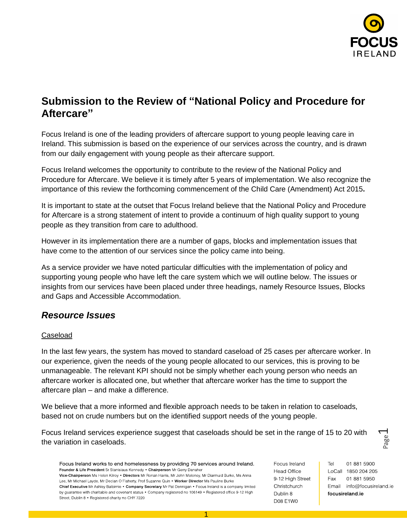

# **Submission to the Review of "National Policy and Procedure for Aftercare"**

Focus Ireland is one of the leading providers of aftercare support to young people leaving care in Ireland. This submission is based on the experience of our services across the country, and is drawn from our daily engagement with young people as their aftercare support.

Focus Ireland welcomes the opportunity to contribute to the review of the National Policy and Procedure for Aftercare. We believe it is timely after 5 years of implementation. We also recognize the importance of this review the forthcoming commencement of the Child Care (Amendment) Act 2015**.** 

It is important to state at the outset that Focus Ireland believe that the National Policy and Procedure for Aftercare is a strong statement of intent to provide a continuum of high quality support to young people as they transition from care to adulthood.

However in its implementation there are a number of gaps, blocks and implementation issues that have come to the attention of our services since the policy came into being.

As a service provider we have noted particular difficulties with the implementation of policy and supporting young people who have left the care system which we will outline below. The issues or insights from our services have been placed under three headings, namely Resource Issues, Blocks and Gaps and Accessible Accommodation.

## *Resource Issues*

## Caseload

In the last few years, the system has moved to standard caseload of 25 cases per aftercare worker. In our experience, given the needs of the young people allocated to our services, this is proving to be unmanageable. The relevant KPI should not be simply whether each young person who needs an aftercare worker is allocated one, but whether that aftercare worker has the time to support the aftercare plan – and make a difference.

We believe that a more informed and flexible approach needs to be taken in relation to caseloads, based not on crude numbers but on the identified support needs of the young people.

Focus Ireland services experience suggest that caseloads should be set in the range of 15 to 20 with the variation in caseloads.

Focus Ireland works to end homelessness by providing 70 services around Ireland. Founder & Life President Sr Stanislaus Kennedy . Chairperson Mr Gerry Danaher Vice-Chairperson Ms Helen Kilroy . Directors Mr Ronan Harris, Mr John Moloney, Mr Diarmuid Burke, Ms Anna Lee, Mr Michael Layde, Mr Declan O'Flaherty, Prof Suzanne Quin . Worker Director Ms Pauline Burke Chief Executive Mr Ashley Balbirnie . Company Secretary Mr Pat Dennigan . Focus Ireland is a company limited by guarantee with charitable and covenant status . Company registered no 106149 . Registered office 9-12 High Street, Dublin 8 . Registered charity no CHY 7220

Focus Ireland **Head Office** 9-12 High Street Christchurch Dublin 8 **D08 E1W0** 

Tel 01 881 5900 LoCall 1850 204 205 Fax 01 881 5950 Email info@focusireland.ie focusireland ie

Page  $\overline{\phantom{0}}$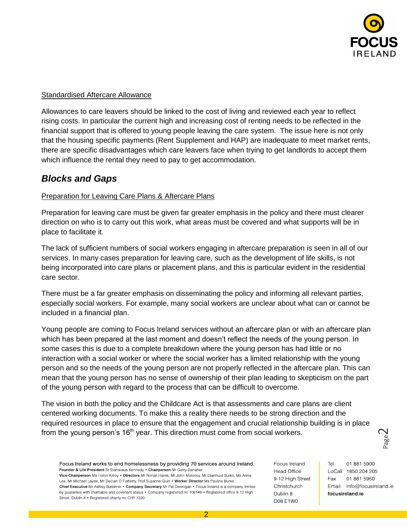

## Standardised Aftercare Allowance

Allowances to care leavers should be linked to the cost of living and reviewed each year to reflect rising costs. In particular the current high and increasing cost of renting needs to be reflected in the financial support that is offered to young people leaving the care system. The issue here is not only that the housing specific payments (Rent Supplement and HAP) are inadequate to meet market rents, there are specific disadvantages which care leavers face when trying to get landlords to accept them which influence the rental they need to pay to get accommodation.

## *Blocks and Gaps*

## Preparation for Leaving Care Plans & Aftercare Plans

Preparation for leaving care must be given far greater emphasis in the policy and there must clearer direction on who is to carry out this work, what areas must be covered and what supports will be in place to facilitate it.

The lack of sufficient numbers of social workers engaging in aftercare preparation is seen in all of our services. In many cases preparation for leaving care, such as the development of life skills, is not being incorporated into care plans or placement plans, and this is particular evident in the residential care sector.

There must be a far greater emphasis on disseminating the policy and informing all relevant parties, especially social workers. For example, many social workers are unclear about what can or cannot be included in a financial plan.

Young people are coming to Focus Ireland services without an aftercare plan or with an aftercare plan which has been prepared at the last moment and doesn't reflect the needs of the young person. In some cases this is due to a complete breakdown where the young person has had little or no interaction with a social worker or where the social worker has a limited relationship with the young person and so the needs of the young person are not properly reflected in the aftercare plan. This can mean that the young person has no sense of ownership of their plan leading to skepticism on the part of the young person with regard to the process that can be difficult to overcome.

The vision in both the policy and the Childcare Act is that assessments and care plans are client centered working documents. To make this a reality there needs to be strong direction and the required resources in place to ensure that the engagement and crucial relationship building is in place from the young person's  $16<sup>th</sup>$  year. This direction must come from social workers.

Focus Ireland works to end homelessness by providing 70 services around Ireland. Founder & Life President Sr Stanislaus Kennedy . Chairperson Mr Gerry Danaher Vice-Chairperson Ms Helen Kilroy . Directors Mr Ronan Harris, Mr John Moloney, Mr Diarmuid Burke, Ms Anna Lee, Mr Michael Layde, Mr Declan O'Flaherty, Prof Suzanne Quin . Worker Director Ms Pauline Burke Chief Executive Mr Ashley Balbirnie . Company Secretary Mr Pat Dennigan . Focus Ireland is a company limited by guarantee with charitable and covenant status . Company registered no 106149 . Registered office 9-12 High Street, Dublin 8 . Registered charity no CHY 7220

Focus Ireland **Head Office** 9-12 High Street Christchurch Dublin 8 **D08 E1W0** 

Tel 01 881 5900 LoCall 1850 204 205 Fax 01 881 5950 Email info@focusireland.ie focusireland ie

Page  $\mathbin{\curvearrowright}$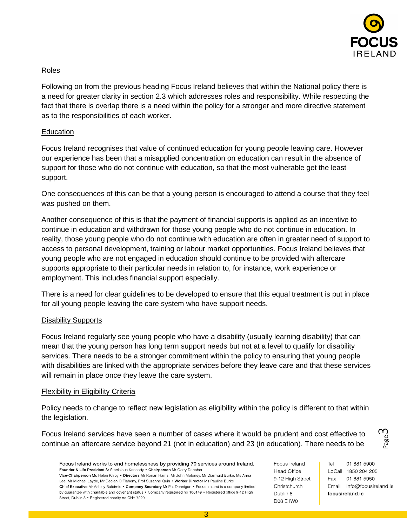

## Roles

Following on from the previous heading Focus Ireland believes that within the National policy there is a need for greater clarity in section 2.3 which addresses roles and responsibility. While respecting the fact that there is overlap there is a need within the policy for a stronger and more directive statement as to the responsibilities of each worker.

### Education

Focus Ireland recognises that value of continued education for young people leaving care. However our experience has been that a misapplied concentration on education can result in the absence of support for those who do not continue with education, so that the most vulnerable get the least support.

One consequences of this can be that a young person is encouraged to attend a course that they feel was pushed on them.

Another consequence of this is that the payment of financial supports is applied as an incentive to continue in education and withdrawn for those young people who do not continue in education. In reality, those young people who do not continue with education are often in greater need of support to access to personal development, training or labour market opportunities. Focus Ireland believes that young people who are not engaged in education should continue to be provided with aftercare supports appropriate to their particular needs in relation to, for instance, work experience or employment. This includes financial support especially.

There is a need for clear guidelines to be developed to ensure that this equal treatment is put in place for all young people leaving the care system who have support needs.

## Disability Supports

Focus Ireland regularly see young people who have a disability (usually learning disability) that can mean that the young person has long term support needs but not at a level to qualify for disability services. There needs to be a stronger commitment within the policy to ensuring that young people with disabilities are linked with the appropriate services before they leave care and that these services will remain in place once they leave the care system.

#### **Flexibility in Eligibility Criteria**

Policy needs to change to reflect new legislation as eligibility within the policy is different to that within the legislation.

Focus Ireland services have seen a number of cases where it would be prudent and cost effective to continue an aftercare service beyond 21 (not in education) and 23 (in education). There needs to be

Focus Ireland works to end homelessness by providing 70 services around Ireland. Founder & Life President Sr Stanislaus Kennedy . Chairperson Mr Gerry Danaher Vice-Chairperson Ms Helen Kilroy . Directors Mr Ronan Harris, Mr John Moloney, Mr Diarmuid Burke, Ms Anna Lee, Mr Michael Layde, Mr Declan O'Flaherty, Prof Suzanne Quin . Worker Director Ms Pauline Burke Chief Executive Mr Ashley Balbirnie . Company Secretary Mr Pat Dennigan . Focus Ireland is a company limited by guarantee with charitable and covenant status . Company registered no 106149 . Registered office 9-12 High Street, Dublin 8 . Registered charity no CHY 7220

Focus Ireland **Head Office** 9-12 High Street Christchurch Dublin 8 **D08 E1W0** 

Tel 01 881 5900 LoCall 1850 204 205 Fax 01 881 5950 Email info@focusireland.ie focusireland ie

Page ന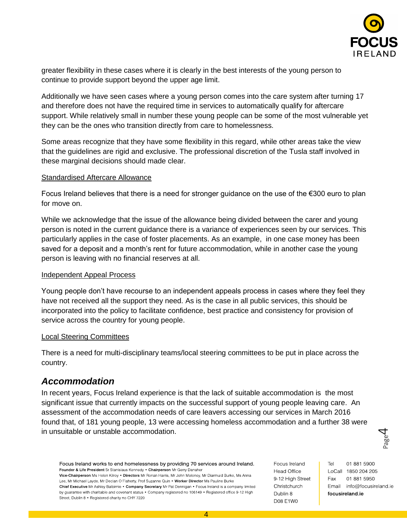

greater flexibility in these cases where it is clearly in the best interests of the young person to continue to provide support beyond the upper age limit.

Additionally we have seen cases where a young person comes into the care system after turning 17 and therefore does not have the required time in services to automatically qualify for aftercare support. While relatively small in number these young people can be some of the most vulnerable yet they can be the ones who transition directly from care to homelessness.

Some areas recognize that they have some flexibility in this regard, while other areas take the view that the guidelines are rigid and exclusive. The professional discretion of the Tusla staff involved in these marginal decisions should made clear.

#### Standardised Aftercare Allowance

Focus Ireland believes that there is a need for stronger guidance on the use of the €300 euro to plan for move on.

While we acknowledge that the issue of the allowance being divided between the carer and young person is noted in the current guidance there is a variance of experiences seen by our services. This particularly applies in the case of foster placements. As an example, in one case money has been saved for a deposit and a month's rent for future accommodation, while in another case the young person is leaving with no financial reserves at all.

#### Independent Appeal Process

Young people don't have recourse to an independent appeals process in cases where they feel they have not received all the support they need. As is the case in all public services, this should be incorporated into the policy to facilitate confidence, best practice and consistency for provision of service across the country for young people.

#### Local Steering Committees

There is a need for multi-disciplinary teams/local steering committees to be put in place across the country.

## *Accommodation*

In recent years, Focus Ireland experience is that the lack of suitable accommodation is the most significant issue that currently impacts on the successful support of young people leaving care. An assessment of the accommodation needs of care leavers accessing our services in March 2016 found that, of 181 young people, 13 were accessing homeless accommodation and a further 38 were in unsuitable or unstable accommodation.

Focus Ireland works to end homelessness by providing 70 services around Ireland. Founder & Life President Sr Stanislaus Kennedy . Chairperson Mr Gerry Danaher Vice-Chairperson Ms Helen Kilroy . Directors Mr Ronan Harris, Mr John Moloney, Mr Diarmuid Burke, Ms Anna Lee, Mr Michael Layde, Mr Declan O'Flaherty, Prof Suzanne Quin . Worker Director Ms Pauline Burke Chief Executive Mr Ashley Balbirnie . Company Secretary Mr Pat Dennigan . Focus Ireland is a company limited by guarantee with charitable and covenant status . Company registered no 106149 . Registered office 9-12 High Street, Dublin 8 . Registered charity no CHY 7220

Focus Ireland **Head Office** 9-12 High Street Christchurch Dublin 8 **D08 E1W0** 

Tel 01 881 5900 LoCall 1850 204 205 Fax 01 881 5950 Email info@focusireland.ie focusireland ie

Page 4

4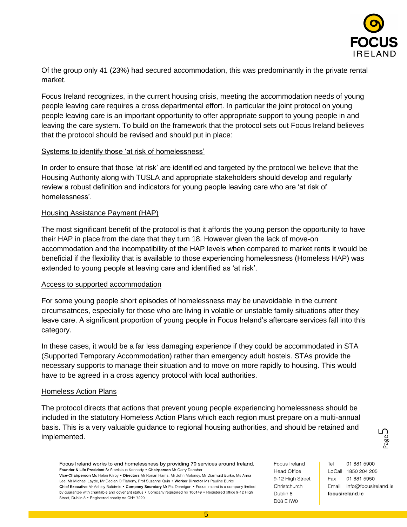

Of the group only 41 (23%) had secured accommodation, this was predominantly in the private rental market.

Focus Ireland recognizes, in the current housing crisis, meeting the accommodation needs of young people leaving care requires a cross departmental effort. In particular the joint protocol on young people leaving care is an important opportunity to offer appropriate support to young people in and leaving the care system. To build on the framework that the protocol sets out Focus Ireland believes that the protocol should be revised and should put in place:

### Systems to identify those 'at risk of homelessness'

In order to ensure that those 'at risk' are identified and targeted by the protocol we believe that the Housing Authority along with TUSLA and appropriate stakeholders should develop and regularly review a robust definition and indicators for young people leaving care who are 'at risk of homelessness'.

### Housing Assistance Payment (HAP)

The most significant benefit of the protocol is that it affords the young person the opportunity to have their HAP in place from the date that they turn 18. However given the lack of move-on accommodation and the incompatibility of the HAP levels when compared to market rents it would be beneficial if the flexibility that is available to those experiencing homelessness (Homeless HAP) was extended to young people at leaving care and identified as 'at risk'.

#### Access to supported accommodation

For some young people short episodes of homelessness may be unavoidable in the current circumsatnces, especially for those who are living in volatile or unstable family situations after they leave care. A significant proportion of young people in Focus Ireland's aftercare services fall into this category.

In these cases, it would be a far less damaging experience if they could be accommodated in STA (Supported Temporary Accommodation) rather than emergency adult hostels. STAs provide the necessary supports to manage their situation and to move on more rapidly to housing. This would have to be agreed in a cross agency protocol with local authorities.

#### Homeless Action Plans

The protocol directs that actions that prevent young people experiencing homelessness should be included in the statutory Homeless Action Plans which each region must prepare on a multi-annual basis. This is a very valuable guidance to regional housing authorities, and should be retained and implemented.

Focus Ireland works to end homelessness by providing 70 services around Ireland. Founder & Life President Sr Stanislaus Kennedy . Chairperson Mr Gerry Danaher Vice-Chairperson Ms Helen Kilroy . Directors Mr Ronan Harris, Mr John Moloney, Mr Diarmuid Burke, Ms Anna Lee, Mr Michael Layde, Mr Declan O'Flaherty, Prof Suzanne Quin . Worker Director Ms Pauline Burke Chief Executive Mr Ashley Balbirnie . Company Secretary Mr Pat Dennigan . Focus Ireland is a company limited by guarantee with charitable and covenant status . Company registered no 106149 . Registered office 9-12 High Street, Dublin 8 . Registered charity no CHY 7220

Focus Ireland **Head Office** 9-12 High Street Christchurch Dublin 8 **D08 E1W0** 

Tel 01 881 5900 LoCall 1850 204 205 Fax 01 881 5950 Email info@focusireland.ie focusireland ie

Page ഥ